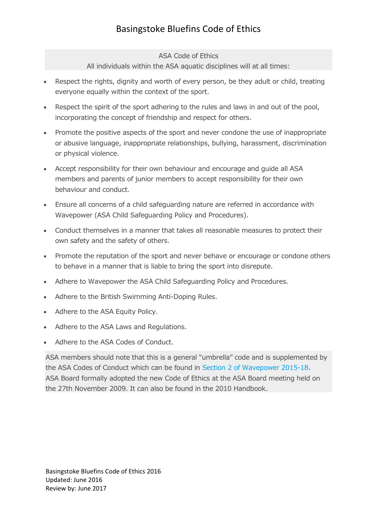## Basingstoke Bluefins Code of Ethics

## ASA Code of Ethics

All individuals within the ASA aquatic disciplines will at all times:

- Respect the rights, dignity and worth of every person, be they adult or child, treating everyone equally within the context of the sport.
- Respect the spirit of the sport adhering to the rules and laws in and out of the pool, incorporating the concept of friendship and respect for others.
- Promote the positive aspects of the sport and never condone the use of inappropriate or abusive language, inappropriate relationships, bullying, harassment, discrimination or physical violence.
- Accept responsibility for their own behaviour and encourage and guide all ASA members and parents of junior members to accept responsibility for their own behaviour and conduct.
- Ensure all concerns of a child safeguarding nature are referred in accordance with Wavepower (ASA Child Safeguarding Policy and Procedures).
- Conduct themselves in a manner that takes all reasonable measures to protect their own safety and the safety of others.
- Promote the reputation of the sport and never behave or encourage or condone others to behave in a manner that is liable to bring the sport into disrepute.
- Adhere to Wavepower the ASA Child Safeguarding Policy and Procedures.
- Adhere to the British Swimming Anti-Doping Rules.
- Adhere to the ASA Equity Policy.
- Adhere to the ASA Laws and Regulations.
- Adhere to the ASA Codes of Conduct.

ASA members should note that this is a general "umbrella" code and is supplemented by the ASA Codes of Conduct which can be found in Section 2 of [Wavepower](http://www.swimming.org/library/documents/files/1205/download) 2015-18. ASA Board formally adopted the new Code of Ethics at the ASA Board meeting held on the 27th November 2009. It can also be found in the 2010 Handbook.

Basingstoke Bluefins Code of Ethics 2016 Updated: June 2016 Review by: June 2017